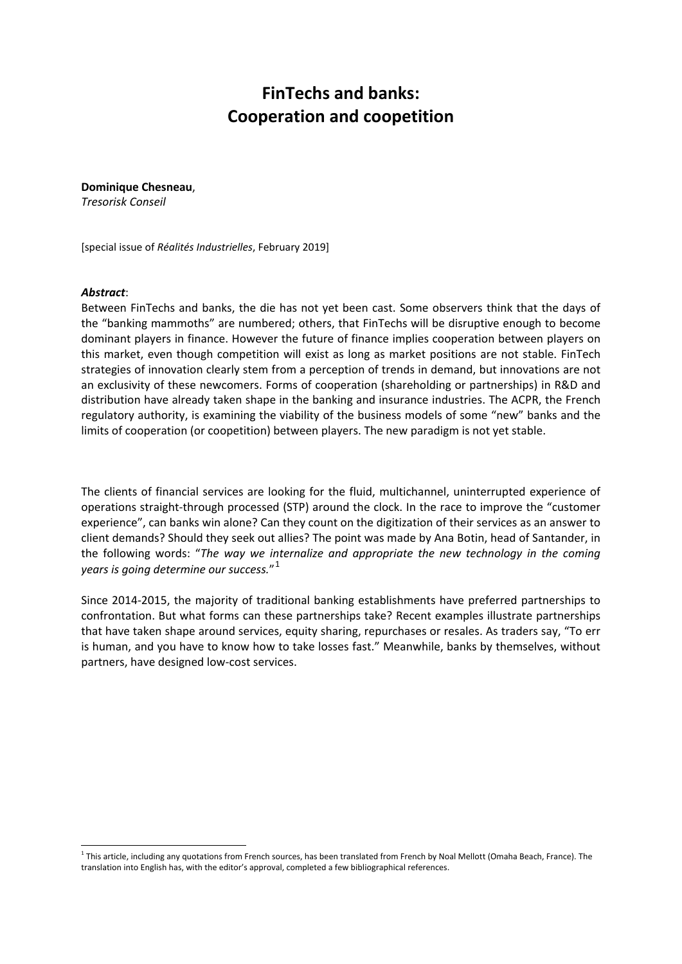## **FinTechs and banks: Cooperation and coopetition**

**Dominique Chesneau**, *Tresorisk Conseil*

[special issue of *Réalités Industrielles*, February 2019]

#### *Abstract*:

Between FinTechs and banks, the die has not yet been cast. Some observers think that the days of the "banking mammoths" are numbered; others, that FinTechs will be disruptive enough to become dominant players in finance. However the future of finance implies cooperation between players on this market, even though competition will exist as long as market positions are not stable. FinTech strategies of innovation clearly stem from a perception of trends in demand, but innovations are not an exclusivity of these newcomers. Forms of cooperation (shareholding or partnerships) in R&D and distribution have already taken shape in the banking and insurance industries. The ACPR, the French regulatory authority, is examining the viability of the business models of some "new" banks and the limits of cooperation (or coopetition) between players. The new paradigm is not yet stable.

The clients of financial services are looking for the fluid, multichannel, uninterrupted experience of operations straight-through processed (STP) around the clock. In the race to improve the "customer experience", can banks win alone? Can they count on the digitization of their services as an answer to client demands? Should they seek out allies? The point was made by Ana Botin, head of Santander, in the following words: "*The way we internalize and appropriate the new technology in the coming years is going determine our success.*" [1](#page-0-0)

Since 2014-2015, the majority of traditional banking establishments have preferred partnerships to confrontation. But what forms can these partnerships take? Recent examples illustrate partnerships that have taken shape around services, equity sharing, repurchases or resales. As traders say, "To err is human, and you have to know how to take losses fast." Meanwhile, banks by themselves, without partners, have designed low-cost services.

<span id="page-0-0"></span> $1$  This article, including any quotations from French sources, has been translated from French by Noal Mellott (Omaha Beach, France). The translation into English has, with the editor's approval, completed a few bibliographical references.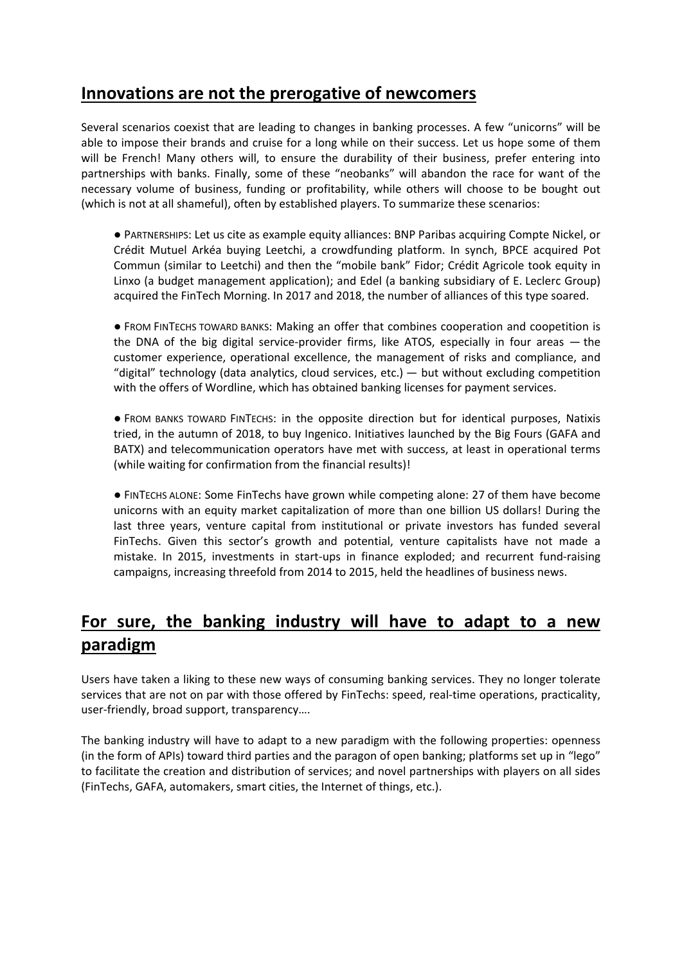### **Innovations are not the prerogative of newcomers**

Several scenarios coexist that are leading to changes in banking processes. A few "unicorns" will be able to impose their brands and cruise for a long while on their success. Let us hope some of them will be French! Many others will, to ensure the durability of their business, prefer entering into partnerships with banks. Finally, some of these "neobanks" will abandon the race for want of the necessary volume of business, funding or profitability, while others will choose to be bought out (which is not at all shameful), often by established players. To summarize these scenarios:

● PARTNERSHIPS: Let us cite as example equity alliances: BNP Paribas acquiring Compte Nickel, or Crédit Mutuel Arkéa buying Leetchi, a crowdfunding platform. In synch, BPCE acquired Pot Commun (similar to Leetchi) and then the "mobile bank" Fidor; Crédit Agricole took equity in Linxo (a budget management application); and Edel (a banking subsidiary of E. Leclerc Group) acquired the FinTech Morning. In 2017 and 2018, the number of alliances of this type soared.

● FROM FINTECHS TOWARD BANKS: Making an offer that combines cooperation and coopetition is the DNA of the big digital service-provider firms, like ATOS, especially in four areas — the customer experience, operational excellence, the management of risks and compliance, and "digital" technology (data analytics, cloud services, etc.) — but without excluding competition with the offers of Wordline, which has obtained banking licenses for payment services.

● FROM BANKS TOWARD FINTECHS: in the opposite direction but for identical purposes, Natixis tried, in the autumn of 2018, to buy Ingenico. Initiatives launched by the Big Fours (GAFA and BATX) and telecommunication operators have met with success, at least in operational terms (while waiting for confirmation from the financial results)!

● FINTECHS ALONE: Some FinTechs have grown while competing alone: 27 of them have become unicorns with an equity market capitalization of more than one billion US dollars! During the last three years, venture capital from institutional or private investors has funded several FinTechs. Given this sector's growth and potential, venture capitalists have not made a mistake. In 2015, investments in start-ups in finance exploded; and recurrent fund-raising campaigns, increasing threefold from 2014 to 2015, held the headlines of business news.

# **For sure, the banking industry will have to adapt to a new paradigm**

Users have taken a liking to these new ways of consuming banking services. They no longer tolerate services that are not on par with those offered by FinTechs: speed, real-time operations, practicality, user-friendly, broad support, transparency….

The banking industry will have to adapt to a new paradigm with the following properties: openness (in the form of APIs) toward third parties and the paragon of open banking; platforms set up in "lego" to facilitate the creation and distribution of services; and novel partnerships with players on all sides (FinTechs, GAFA, automakers, smart cities, the Internet of things, etc.).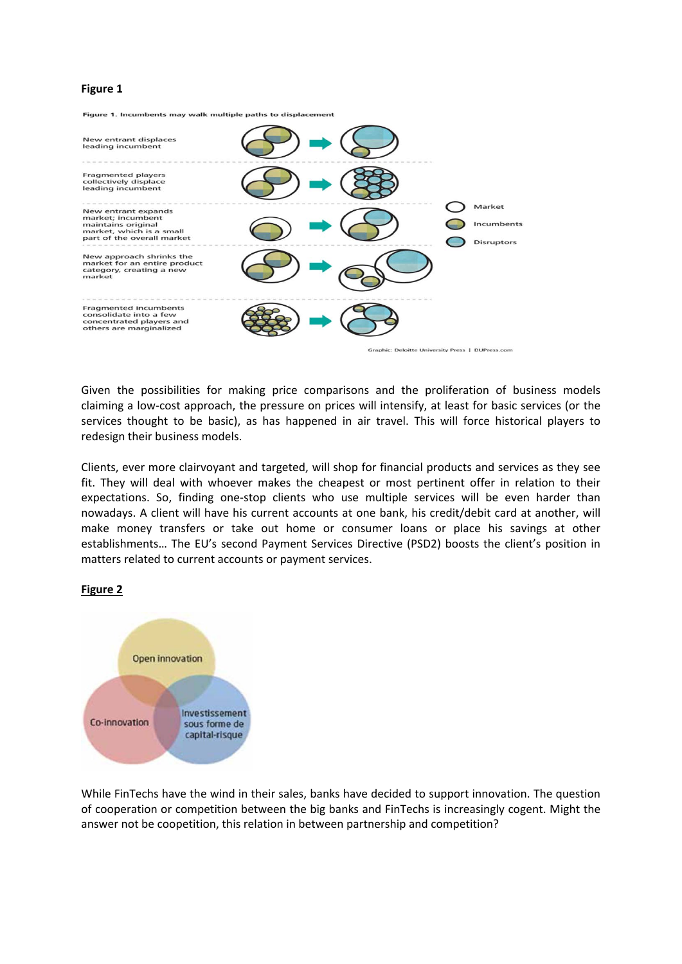### **Figure 1**



Given the possibilities for making price comparisons and the proliferation of business models claiming a low-cost approach, the pressure on prices will intensify, at least for basic services (or the services thought to be basic), as has happened in air travel. This will force historical players to redesign their business models.

Clients, ever more clairvoyant and targeted, will shop for financial products and services as they see fit. They will deal with whoever makes the cheapest or most pertinent offer in relation to their expectations. So, finding one-stop clients who use multiple services will be even harder than nowadays. A client will have his current accounts at one bank, his credit/debit card at another, will make money transfers or take out home or consumer loans or place his savings at other establishments… The EU's second Payment Services Directive (PSD2) boosts the client's position in matters related to current accounts or payment services.



**Figure 2**

While FinTechs have the wind in their sales, banks have decided to support innovation. The question of cooperation or competition between the big banks and FinTechs is increasingly cogent. Might the answer not be coopetition, this relation in between partnership and competition?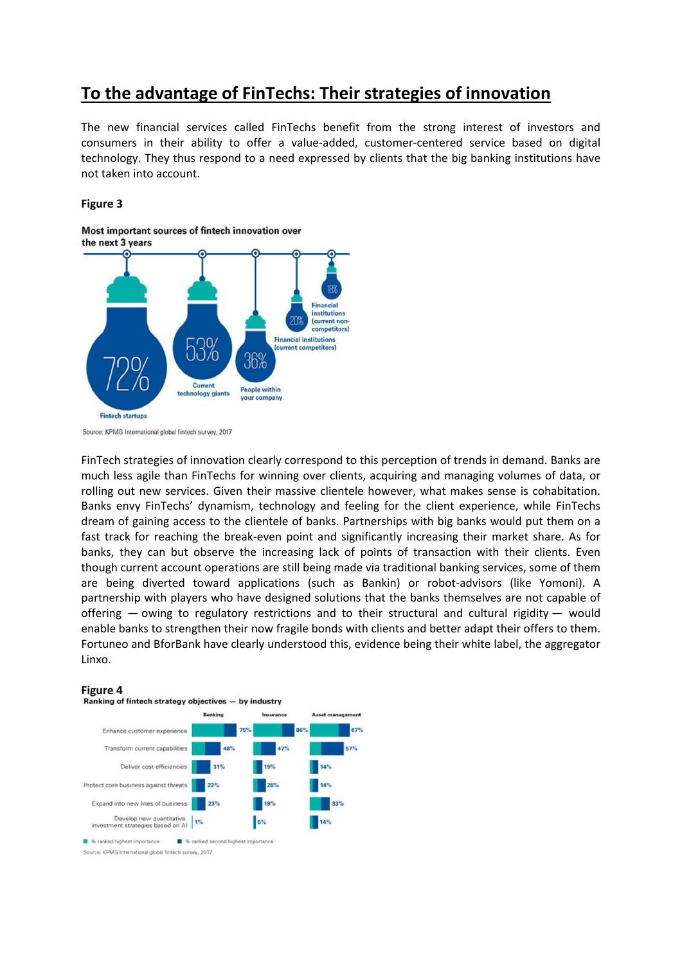### **To the advantage of FinTechs: Their strategies of innovation**

The new financial services called FinTechs benefit from the strong interest of investors and consumers in their ability to offer a value-added, customer-centered service based on digital technology. They thus respond to a need expressed by clients that the big banking institutions have not taken into account.

#### **Figure 3**

Most important sources of fintech innovation over



Source: KPMG International global fintech survey, 2017

FinTech strategies of innovation clearly correspond to this perception of trends in demand. Banks are much less agile than FinTechs for winning over clients, acquiring and managing volumes of data, or rolling out new services. Given their massive clientele however, what makes sense is cohabitation. Banks envy FinTechs' dynamism, technology and feeling for the client experience, while FinTechs dream of gaining access to the clientele of banks. Partnerships with big banks would put them on a fast track for reaching the break-even point and significantly increasing their market share. As for banks, they can but observe the increasing lack of points of transaction with their clients. Even though current account operations are still being made via traditional banking services, some of them are being diverted toward applications (such as Bankin) or robot-advisors (like Yomoni). A partnership with players who have designed solutions that the banks themselves are not capable of offering — owing to regulatory restrictions and to their structural and cultural rigidity — would enable banks to strengthen their now fragile bonds with clients and better adapt their offers to them. Fortuneo and BforBank have clearly understood this, evidence being their white label, the aggregator Linxo.

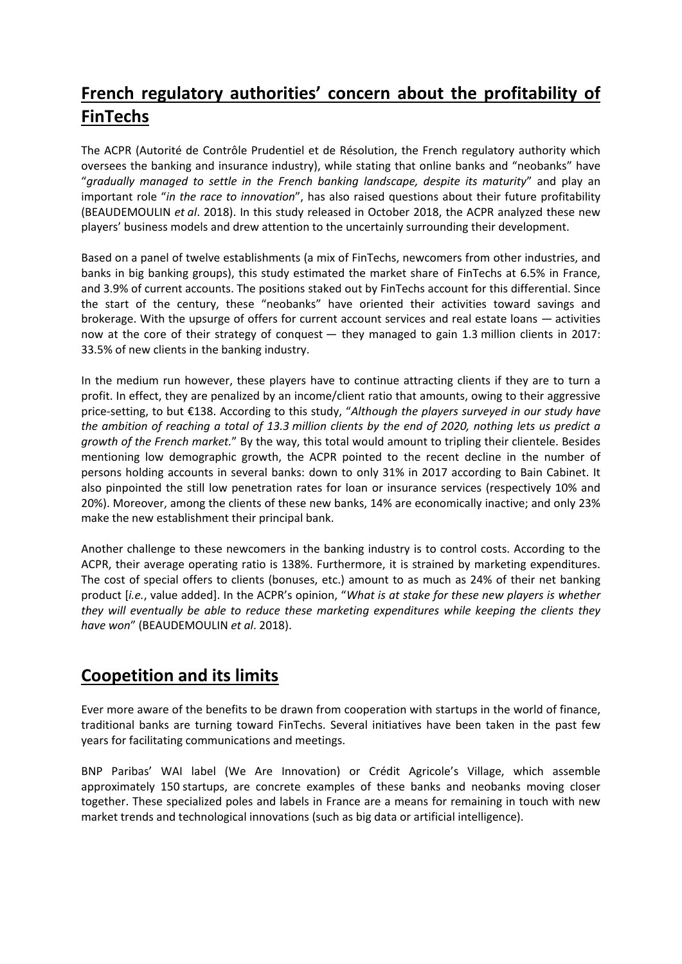# **French regulatory authorities' concern about the profitability of FinTechs**

The ACPR (Autorité de Contrôle Prudentiel et de Résolution, the French regulatory authority which oversees the banking and insurance industry), while stating that online banks and "neobanks" have "*gradually managed to settle in the French banking landscape, despite its maturity*" and play an important role "*in the race to innovation*", has also raised questions about their future profitability (BEAUDEMOULIN *et al*. 2018). In this study released in October 2018, the ACPR analyzed these new players' business models and drew attention to the uncertainly surrounding their development.

Based on a panel of twelve establishments (a mix of FinTechs, newcomers from other industries, and banks in big banking groups), this study estimated the market share of FinTechs at 6.5% in France, and 3.9% of current accounts. The positions staked out by FinTechs account for this differential. Since the start of the century, these "neobanks" have oriented their activities toward savings and brokerage. With the upsurge of offers for current account services and real estate loans — activities now at the core of their strategy of conquest — they managed to gain 1.3 million clients in 2017: 33.5% of new clients in the banking industry.

In the medium run however, these players have to continue attracting clients if they are to turn a profit. In effect, they are penalized by an income/client ratio that amounts, owing to their aggressive price-setting, to but €138. According to this study, "*Although the players surveyed in our study have the ambition of reaching a total of 13.3 million clients by the end of 2020, nothing lets us predict a growth of the French market.*" By the way, this total would amount to tripling their clientele. Besides mentioning low demographic growth, the ACPR pointed to the recent decline in the number of persons holding accounts in several banks: down to only 31% in 2017 according to Bain Cabinet. It also pinpointed the still low penetration rates for loan or insurance services (respectively 10% and 20%). Moreover, among the clients of these new banks, 14% are economically inactive; and only 23% make the new establishment their principal bank.

Another challenge to these newcomers in the banking industry is to control costs. According to the ACPR, their average operating ratio is 138%. Furthermore, it is strained by marketing expenditures. The cost of special offers to clients (bonuses, etc.) amount to as much as 24% of their net banking product [*i.e.*, value added]. In the ACPR's opinion, "*What is at stake for these new players is whether they will eventually be able to reduce these marketing expenditures while keeping the clients they have won*" (BEAUDEMOULIN *et al*. 2018).

## **Coopetition and its limits**

Ever more aware of the benefits to be drawn from cooperation with startups in the world of finance, traditional banks are turning toward FinTechs. Several initiatives have been taken in the past few years for facilitating communications and meetings.

BNP Paribas' WAI label (We Are Innovation) or Crédit Agricole's Village, which assemble approximately 150 startups, are concrete examples of these banks and neobanks moving closer together. These specialized poles and labels in France are a means for remaining in touch with new market trends and technological innovations (such as big data or artificial intelligence).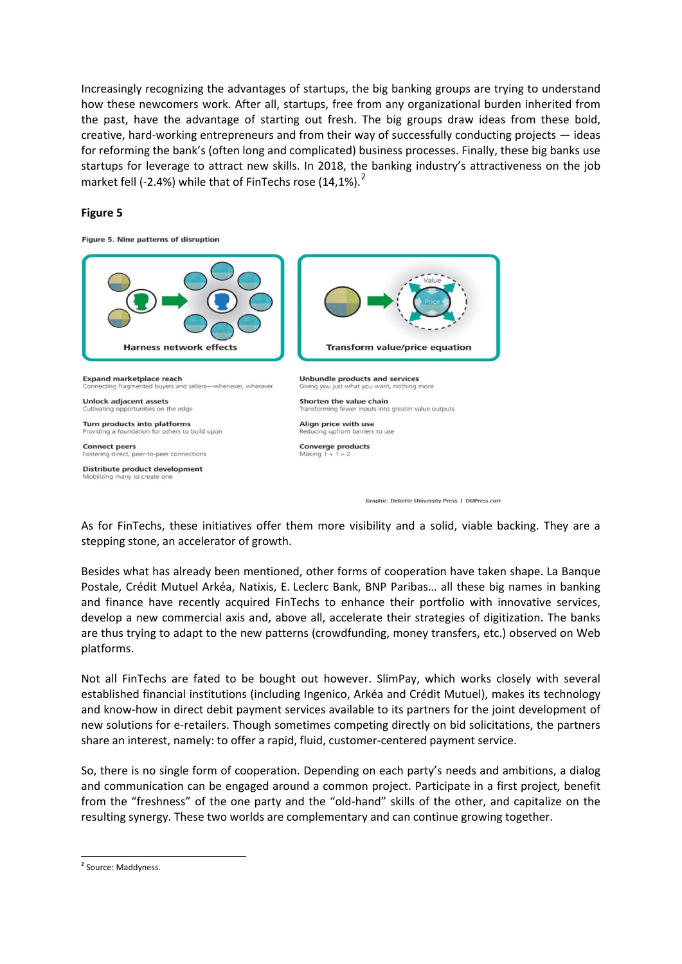Increasingly recognizing the advantages of startups, the big banking groups are trying to understand how these newcomers work. After all, startups, free from any organizational burden inherited from the past, have the advantage of starting out fresh. The big groups draw ideas from these bold, creative, hard-working entrepreneurs and from their way of successfully conducting projects — ideas for reforming the bank's (often long and complicated) business processes. Finally, these big banks use startups for leverage to attract new skills. In 2018, the banking industry's attractiveness on the job market fell (-[2](#page-5-0).4%) while that of FinTechs rose  $(14,1\%)$ .<sup>2</sup>

### **Figure 5**

Figure 5. Nine patterns of disruption



As for FinTechs, these initiatives offer them more visibility and a solid, viable backing. They are a stepping stone, an accelerator of growth.

Besides what has already been mentioned, other forms of cooperation have taken shape. La Banque Postale, Crédit Mutuel Arkéa, Natixis, E. Leclerc Bank, BNP Paribas… all these big names in banking and finance have recently acquired FinTechs to enhance their portfolio with innovative services, develop a new commercial axis and, above all, accelerate their strategies of digitization. The banks are thus trying to adapt to the new patterns (crowdfunding, money transfers, etc.) observed on Web platforms.

Not all FinTechs are fated to be bought out however. SlimPay, which works closely with several established financial institutions (including Ingenico, Arkéa and Crédit Mutuel), makes its technology and know-how in direct debit payment services available to its partners for the joint development of new solutions for e-retailers. Though sometimes competing directly on bid solicitations, the partners share an interest, namely: to offer a rapid, fluid, customer-centered payment service.

So, there is no single form of cooperation. Depending on each party's needs and ambitions, a dialog and communication can be engaged around a common project. Participate in a first project, benefit from the "freshness" of the one party and the "old-hand" skills of the other, and capitalize on the resulting synergy. These two worlds are complementary and can continue growing together.

<span id="page-5-0"></span>**<sup>2</sup>** Source: Maddyness.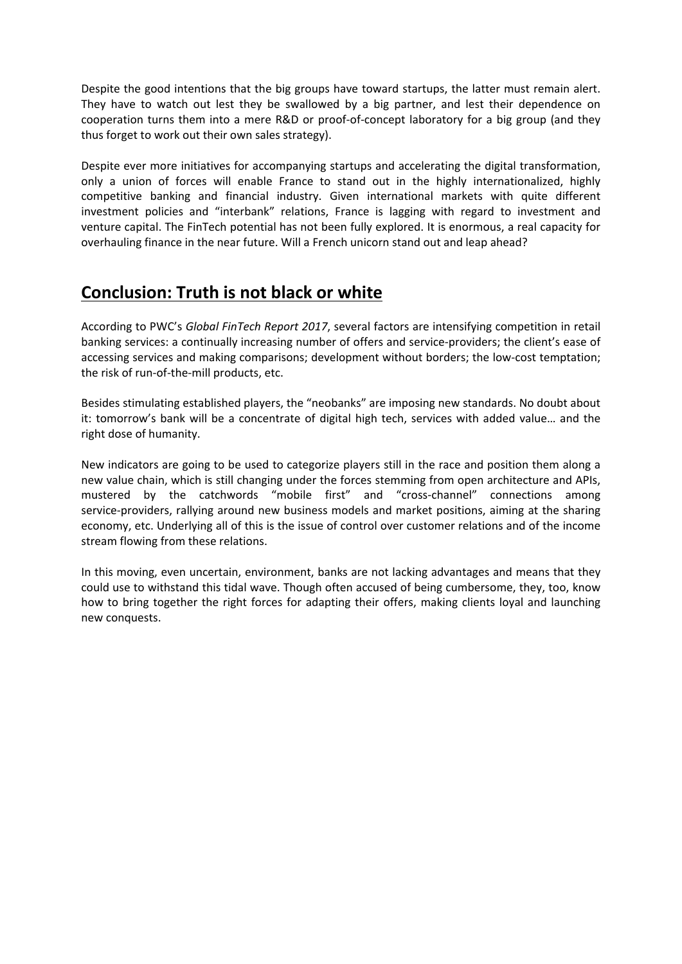Despite the good intentions that the big groups have toward startups, the latter must remain alert. They have to watch out lest they be swallowed by a big partner, and lest their dependence on cooperation turns them into a mere R&D or proof-of-concept laboratory for a big group (and they thus forget to work out their own sales strategy).

Despite ever more initiatives for accompanying startups and accelerating the digital transformation, only a union of forces will enable France to stand out in the highly internationalized, highly competitive banking and financial industry. Given international markets with quite different investment policies and "interbank" relations, France is lagging with regard to investment and venture capital. The FinTech potential has not been fully explored. It is enormous, a real capacity for overhauling finance in the near future. Will a French unicorn stand out and leap ahead?

## **Conclusion: Truth is not black or white**

According to PWC's *Global FinTech Report 2017*, several factors are intensifying competition in retail banking services: a continually increasing number of offers and service-providers; the client's ease of accessing services and making comparisons; development without borders; the low-cost temptation; the risk of run-of-the-mill products, etc.

Besides stimulating established players, the "neobanks" are imposing new standards. No doubt about it: tomorrow's bank will be a concentrate of digital high tech, services with added value… and the right dose of humanity.

New indicators are going to be used to categorize players still in the race and position them along a new value chain, which is still changing under the forces stemming from open architecture and APIs, mustered by the catchwords "mobile first" and "cross-channel" connections among service-providers, rallying around new business models and market positions, aiming at the sharing economy, etc. Underlying all of this is the issue of control over customer relations and of the income stream flowing from these relations.

In this moving, even uncertain, environment, banks are not lacking advantages and means that they could use to withstand this tidal wave. Though often accused of being cumbersome, they, too, know how to bring together the right forces for adapting their offers, making clients loyal and launching new conquests.